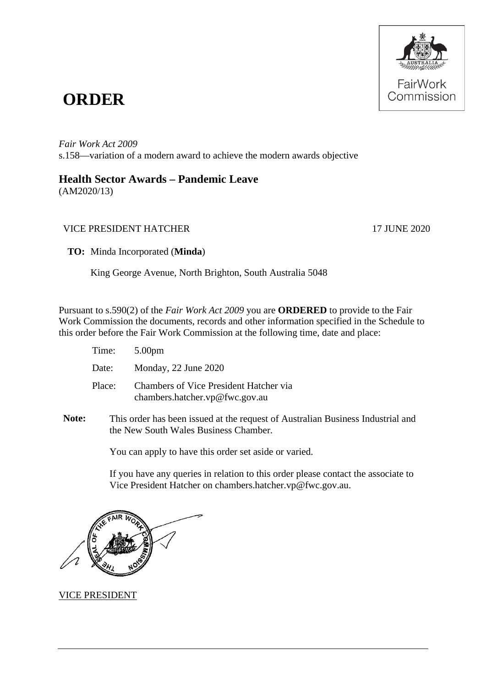

## **ORDER**

*Fair Work Act 2009*  s.158—variation of a modern award to achieve the modern awards objective

## **Health Sector Awards – Pandemic Leave**

(AM2020/13)

## VICE PRESIDENT HATCHER 17 JUNE 2020

**TO:** Minda Incorporated (**Minda**)

King George Avenue, North Brighton, South Australia 5048

Pursuant to s.590(2) of the *Fair Work Act 2009* you are **ORDERED** to provide to the Fair Work Commission the documents, records and other information specified in the Schedule to this order before the Fair Work Commission at the following time, date and place:

| Time:  | 5.00 <sub>pm</sub>                                                       |
|--------|--------------------------------------------------------------------------|
| Date:  | Monday, 22 June 2020                                                     |
| Place: | Chambers of Vice President Hatcher via<br>chambers.hatcher.vp@fwc.gov.au |

**Note:** This order has been issued at the request of Australian Business Industrial and the New South Wales Business Chamber*.*

You can apply to have this order set aside or varied.

If you have any queries in relation to this order please contact the associate to Vice President Hatcher on chambers.hatcher.vp@fwc.gov.au.



VICE PRESIDENT